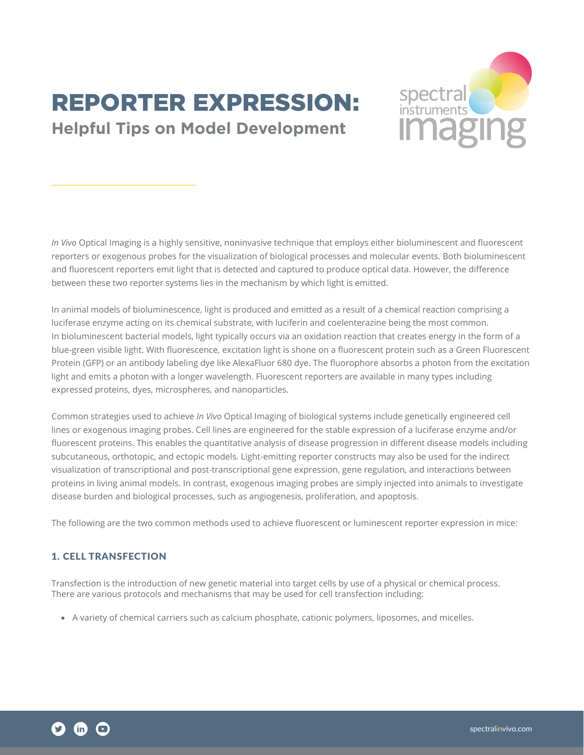# REPORTER EXPRESSION: **Helpful Tips on Model Development**



*In Vivo* Optical Imaging is a highly sensitive, noninvasive technique that employs either bioluminescent and fluorescent reporters or exogenous probes for the visualization of biological processes and molecular events. Both bioluminescent and fluorescent reporters emit light that is detected and captured to produce optical data. However, the difference between these two reporter systems lies in the mechanism by which light is emitted.

In animal models of bioluminescence, light is produced and emitted as a result of a chemical reaction comprising a luciferase enzyme acting on its chemical substrate, with luciferin and coelenterazine being the most common. In bioluminescent bacterial models, light typically occurs via an oxidation reaction that creates energy in the form of a blue-green visible light. With fluorescence, excitation light is shone on a fluorescent protein such as a Green Fluorescent Protein (GFP) or an antibody labeling dye like AlexaFluor 680 dye. The fluorophore absorbs a photon from the excitation light and emits a photon with a longer wavelength. Fluorescent reporters are available in many types including expressed proteins, dyes, microspheres, and nanoparticles.

Common strategies used to achieve *In Vivo* Optical Imaging of biological systems include genetically engineered cell lines or exogenous imaging probes. Cell lines are engineered for the stable expression of a luciferase enzyme and/or fluorescent proteins. This enables the quantitative analysis of disease progression in different disease models including subcutaneous, orthotopic, and ectopic models. Light-emitting reporter constructs may also be used for the indirect visualization of transcriptional and post-transcriptional gene expression, gene regulation, and interactions between proteins in living animal models. In contrast, exogenous imaging probes are simply injected into animals to investigate disease burden and biological processes, such as angiogenesis, proliferation, and apoptosis.

The following are the two common methods used to achieve fluorescent or luminescent reporter expression in mice:

## 1. CELL TRANSFECTION

Transfection is the introduction of new genetic material into target cells by use of a physical or chemical process. There are various protocols and mechanisms that may be used for cell transfection including:

• A variety of chemical carriers such as calcium phosphate, cationic polymers, liposomes, and micelles.

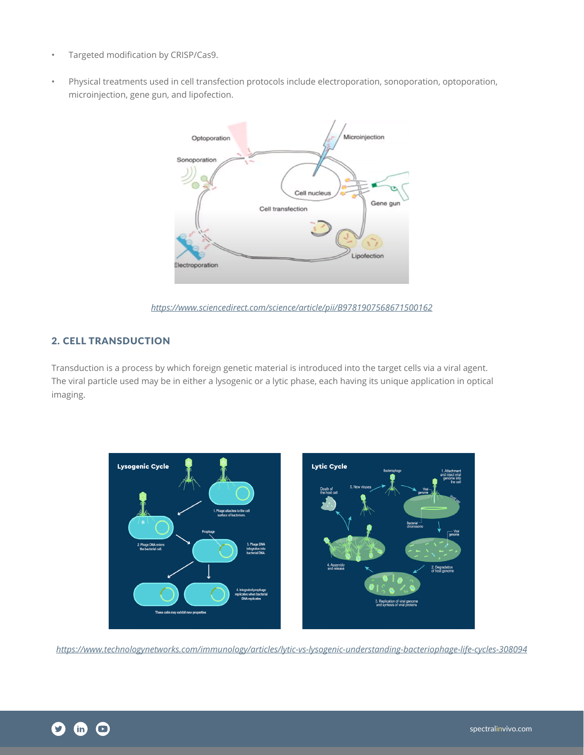- Targeted modification by CRISP/Cas9.
- Physical treatments used in cell transfection protocols include electroporation, sonoporation, optoporation, microinjection, gene gun, and lipofection.



*<https://www.sciencedirect.com/science/article/pii/B9781907568671500162>*

# 2. CELL TRANSDUCTION

Transduction is a process by which foreign genetic material is introduced into the target cells via a viral agent. The viral particle used may be in either a lysogenic or a lytic phase, each having its unique application in optical imaging.



*<https://www.technologynetworks.com/immunology/articles/lytic-vs-lysogenic-understanding-bacteriophage-life-cycles-308094>*

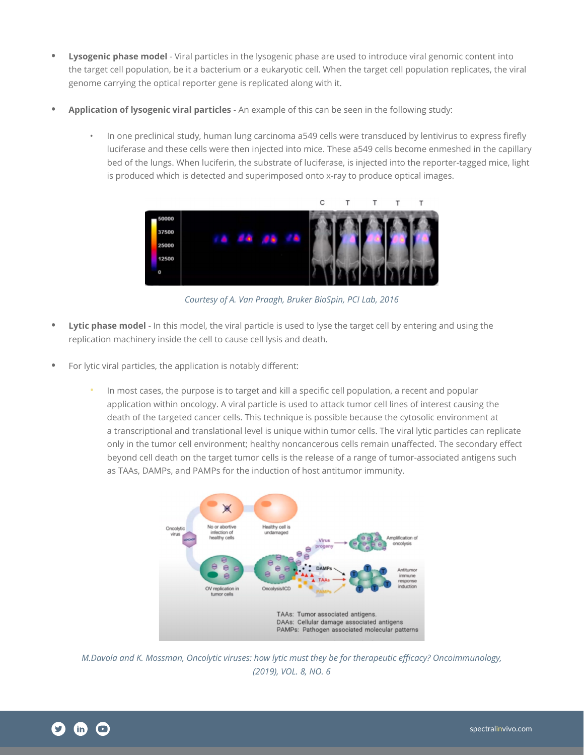- **• Lysogenic phase model** Viral particles in the lysogenic phase are used to introduce viral genomic content into the target cell population, be it a bacterium or a eukaryotic cell. When the target cell population replicates, the viral genome carrying the optical reporter gene is replicated along with it.
- **• Application of lysogenic viral particles** An example of this can be seen in the following study:
	- In one preclinical study, human lung carcinoma a549 cells were transduced by lentivirus to express firefly luciferase and these cells were then injected into mice. These a549 cells become enmeshed in the capillary bed of the lungs. When luciferin, the substrate of luciferase, is injected into the reporter-tagged mice, light is produced which is detected and superimposed onto x-ray to produce optical images.



*Courtesy of A. Van Praagh, Bruker BioSpin, PCI Lab, 2016*

- **• Lytic phase model** In this model, the viral particle is used to lyse the target cell by entering and using the replication machinery inside the cell to cause cell lysis and death.
- **•** For lytic viral particles, the application is notably different:
	- In most cases, the purpose is to target and kill a specific cell population, a recent and popular application within oncology. A viral particle is used to attack tumor cell lines of interest causing the death of the targeted cancer cells. This technique is possible because the cytosolic environment at a transcriptional and translational level is unique within tumor cells. The viral lytic particles can replicate only in the tumor cell environment; healthy noncancerous cells remain unaffected. The secondary effect beyond cell death on the target tumor cells is the release of a range of tumor-associated antigens such as TAAs, DAMPs, and PAMPs for the induction of host antitumor immunity.



*M.Davola and K. Mossman, Oncolytic viruses: how lytic must they be for therapeutic efficacy? Oncoimmunology, (2019), VOL. 8, NO. 6*

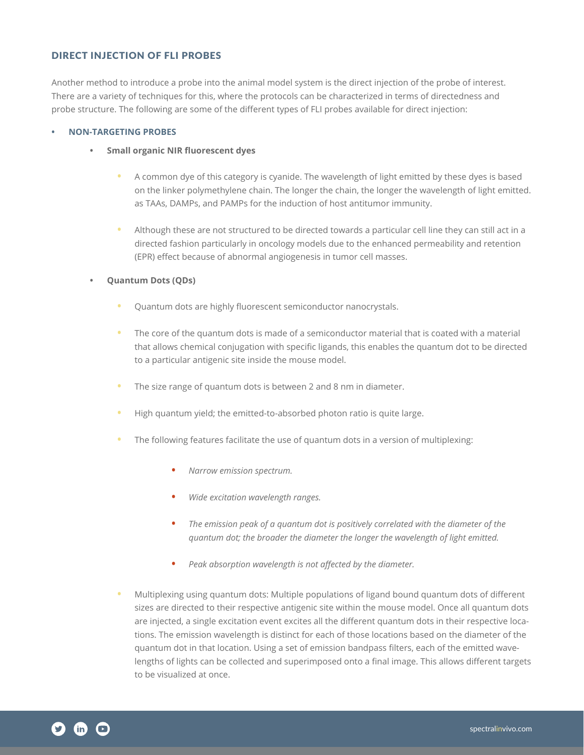## DIRECT INJECTION OF FLI PROBES

Another method to introduce a probe into the animal model system is the direct injection of the probe of interest. There are a variety of techniques for this, where the protocols can be characterized in terms of directedness and probe structure. The following are some of the different types of FLI probes available for direct injection:

#### **• NON-TARGETING PROBES**

- **• Small organic NIR fluorescent dyes**
	- **•** A common dye of this category is cyanide. The wavelength of light emitted by these dyes is based on the linker polymethylene chain. The longer the chain, the longer the wavelength of light emitted. as TAAs, DAMPs, and PAMPs for the induction of host antitumor immunity.
	- **•** Although these are not structured to be directed towards a particular cell line they can still act in a directed fashion particularly in oncology models due to the enhanced permeability and retention (EPR) effect because of abnormal angiogenesis in tumor cell masses.

#### **• Quantum Dots (QDs)**

- **•** Quantum dots are highly fluorescent semiconductor nanocrystals.
- **•** The core of the quantum dots is made of a semiconductor material that is coated with a material that allows chemical conjugation with specific ligands, this enables the quantum dot to be directed to a particular antigenic site inside the mouse model.
- **•** The size range of quantum dots is between 2 and 8 nm in diameter.
- **•** High quantum yield; the emitted-to-absorbed photon ratio is quite large.
- **•** The following features facilitate the use of quantum dots in a version of multiplexing:
	- **•** *Narrow emission spectrum.*
	- **•** *Wide excitation wavelength ranges.*
	- **•** *The emission peak of a quantum dot is positively correlated with the diameter of the quantum dot; the broader the diameter the longer the wavelength of light emitted.*
	- **•** *Peak absorption wavelength is not affected by the diameter.*
- **•** Multiplexing using quantum dots: Multiple populations of ligand bound quantum dots of different sizes are directed to their respective antigenic site within the mouse model. Once all quantum dots are injected, a single excitation event excites all the different quantum dots in their respective locations. The emission wavelength is distinct for each of those locations based on the diameter of the quantum dot in that location. Using a set of emission bandpass filters, each of the emitted wavelengths of lights can be collected and superimposed onto a final image. This allows different targets to be visualized at once.

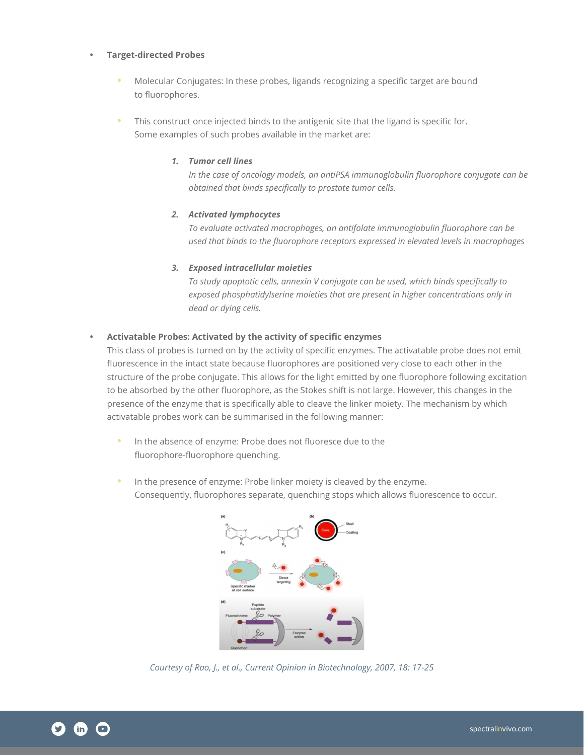#### **• Target-directed Probes**

- **•** Molecular Conjugates: In these probes, ligands recognizing a specific target are bound to fluorophores.
- **•** This construct once injected binds to the antigenic site that the ligand is specific for. Some examples of such probes available in the market are:

#### *1. Tumor cell lines*

*In the case of oncology models, an antiPSA immunoglobulin fluorophore conjugate can be obtained that binds specifically to prostate tumor cells.*

## *2. Activated lymphocytes*

*To evaluate activated macrophages, an antifolate immunoglobulin fluorophore can be used that binds to the fluorophore receptors expressed in elevated levels in macrophages*

#### *3. Exposed intracellular moieties*

*To study apoptotic cells, annexin V conjugate can be used, which binds specifically to exposed phosphatidylserine moieties that are present in higher concentrations only in dead or dying cells.*

#### **• Activatable Probes: Activated by the activity of specific enzymes**

This class of probes is turned on by the activity of specific enzymes. The activatable probe does not emit fluorescence in the intact state because fluorophores are positioned very close to each other in the structure of the probe conjugate. This allows for the light emitted by one fluorophore following excitation to be absorbed by the other fluorophore, as the Stokes shift is not large. However, this changes in the presence of the enzyme that is specifically able to cleave the linker moiety. The mechanism by which activatable probes work can be summarised in the following manner:

- **•** In the absence of enzyme: Probe does not fluoresce due to the fluorophore-fluorophore quenching.
- **•** In the presence of enzyme: Probe linker moiety is cleaved by the enzyme. Consequently, fluorophores separate, quenching stops which allows fluorescence to occur.



*Courtesy of Rao, J., et al., Current Opinion in Biotechnology, 2007, 18: 17-25*